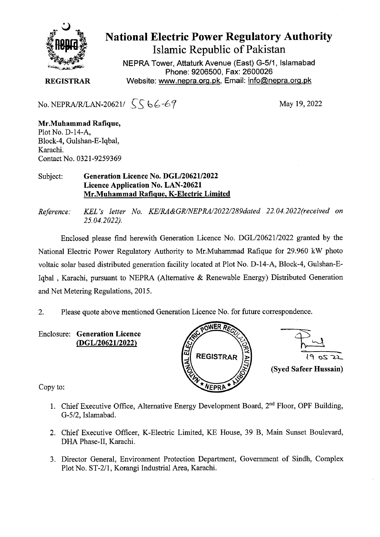

## National Electric Power Regulatory Authority Islamic Republic of Pakistan

**NEPRA Tower, Attaturk Avenue (East) G-5/1, Islamabad Phone: 9206500, Fax: 2600026 REGISTRAR** Website: www.nepra.org.pk, Email: info@nepra.org.pk

No. NEPRA/R/LAN-20621/  $\int \int \int 66-67$  May 19, 2022

**Mr.Muhammad Rafique,**  Plot No. D-14-A, Block-4, Gulshan-E-Iqba1, Karachi. Contact No. 032 1-9259369

## Subject: **Generation Licence No. DGL/20621/2022 Licence Application No. LAN-20621 Mr.Muhammad Rafique, K-Electric Limited**

*Reference: KEL 's letter No. KE/RA&GR/NEPRA/2022/289dated 22. 04.2022(received on 25.04.2022).* 

Enclosed please find herewith Generation Licence No. DGL/20621/2022 granted by the National Electric Power Regulatory Authority to Mr.Muhamrnad Rafique for 29.960 kW photo voltaic solar based distributed generation facility located at Plot No. D-14-A, Block-4, Gulshan-E-Iqbal , Karachi, pursuant to NEPRA (Alternative & Renewable Energy) Distributed Generation and Net Metering Regulations, 2015.

2. Please quote above mentioned Generation Licence No. for future correspondence.

**Enclosure: Generation Licence**  *(DGL/2062112022)* 





Copy to:

- 1. Chief Executive Office, Alternative Energy Development Board,  $2<sup>nd</sup>$  Floor, OPF Building, *G-5/2,* Islamabad.
- 2. Chief Executive Officer, K-Electric Limited, KE House, 39 B, Main Sunset Boulevard, DHA Phase-Il, Karachi.
- 3. Director General, Environment Protection Department, Government of Sindh, Complex Plot No. ST-2/l, Korangi Industrial Area, Karachi.